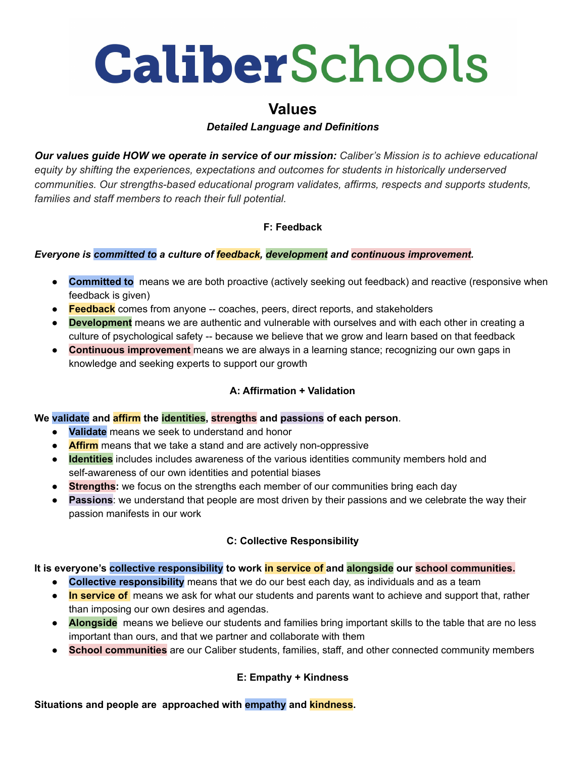# **CaliberSchools**

# **Values**

# *Detailed Language and Definitions*

*Our values guide HOW we operate in service of our mission: Caliber's Mission is to achieve educational equity by shifting the experiences, expectations and outcomes for students in historically underserved communities. Our strengths-based educational program validates, affirms, respects and supports students, families and staff members to reach their full potential.*

# **F: Feedback**

#### *Everyone is committed to a culture of feedback, development and continuous improvement.*

- **Committed to** means we are both proactive (actively seeking out feedback) and reactive (responsive when feedback is given)
- **Feedback** comes from anyone -- coaches, peers, direct reports, and stakeholders
- **Development** means we are authentic and vulnerable with ourselves and with each other in creating a culture of psychological safety -- because we believe that we grow and learn based on that feedback
- **Continuous improvement** means we are always in a learning stance; recognizing our own gaps in knowledge and seeking experts to support our growth

#### **A: Affirmation + Validation**

#### **We validate and affirm the identities, strengths and passions of each person**.

- **Validate** means we seek to understand and honor
- **Affirm** means that we take a stand and are actively non-oppressive
- **Identities** includes includes awareness of the various identities community members hold and self-awareness of our own identities and potential biases
- **Strengths:** we focus on the strengths each member of our communities bring each day
- **Passions**: we understand that people are most driven by their passions and we celebrate the way their passion manifests in our work

#### **C: Collective Responsibility**

#### **It is everyone's collective responsibility to work in service of and alongside our school communities.**

- **Collective responsibility** means that we do our best each day, as individuals and as a team
- **In service of** means we ask for what our students and parents want to achieve and support that, rather than imposing our own desires and agendas.
- **Alongside** means we believe our students and families bring important skills to the table that are no less important than ours, and that we partner and collaborate with them
- **School communities** are our Caliber students, families, staff, and other connected community members

# **E: Empathy + Kindness**

**Situations and people are approached with empathy and kindness.**